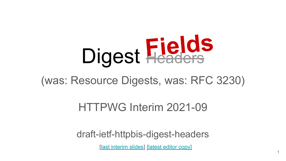

#### (was: Resource Digests, was: RFC 3230)

HTTPWG Interim 2021-09

draft-ietf-httpbis-digest-headers

[\[last interim slides\]](https://docs.google.com/presentation/d/1W6Bc4G6OgkcMjuppOgjhynVF5wXsNG2RA2P_ZyMHYp4/edit#slide=id.p) [\[latest editor copy\]](https://httpwg.org/http-extensions/draft-ietf-httpbis-digest-headers.html)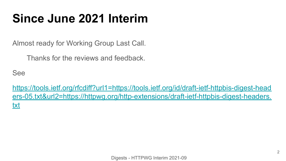### **Since June 2021 Interim**

Almost ready for Working Group Last Call.

Thanks for the reviews and feedback.

See

[https://tools.ietf.org/rfcdiff?url1=https://tools.ietf.org/id/draft-ietf-httpbis-digest-head](https://tools.ietf.org/rfcdiff?url1=https://tools.ietf.org/id/draft-ietf-httpbis-digest-headers-05.txt&url2=https://httpwg.org/http-extensions/draft-ietf-httpbis-digest-headers.txt) [ers-05.txt&url2=https://httpwg.org/http-extensions/draft-ietf-httpbis-digest-headers.](https://tools.ietf.org/rfcdiff?url1=https://tools.ietf.org/id/draft-ietf-httpbis-digest-headers-05.txt&url2=https://httpwg.org/http-extensions/draft-ietf-httpbis-digest-headers.txt) [txt](https://tools.ietf.org/rfcdiff?url1=https://tools.ietf.org/id/draft-ietf-httpbis-digest-headers-05.txt&url2=https://httpwg.org/http-extensions/draft-ietf-httpbis-digest-headers.txt)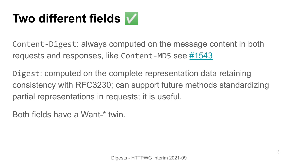# **Two different fields** ✅

Content-Digest: always computed on the message content in both requests and responses, like Content-MD5 see  $\#1543$  $\#1543$ 

Digest: computed on the complete representation data retaining consistency with RFC3230; can support future methods standardizing partial representations in requests; it is useful.

Both fields have a Want-\* twin.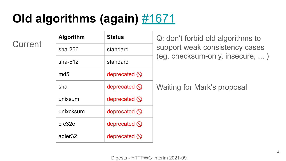## **Old algorithms (again)** [#1671](https://github.com/httpwg/http-extensions/issues/1377)

**Current** 

| <b>Algorithm</b>    | <b>Status</b>           | Q: don't forbid old algorithms to                                 |
|---------------------|-------------------------|-------------------------------------------------------------------|
| $sha-256$           | standard                | support weak consistency cases<br>(eg. checksum-only, insecure, ) |
| sha $-512$          | standard                |                                                                   |
| md <sub>5</sub>     | deprecated $\mathbb{Q}$ |                                                                   |
| sha                 | deprecated $\bigcirc$   | <b>Waiting for Mark's proposal</b>                                |
| unixsum             | deprecated $\bigcirc$   |                                                                   |
| unixcksum           | deprecated $\bigcirc$   |                                                                   |
| crc32c              | deprecated $\bigcirc$   |                                                                   |
| adler <sub>32</sub> | deprecated $\mathbb{Q}$ |                                                                   |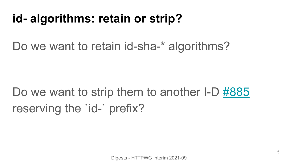### **id- algorithms: retain or strip?**

#### Do we want to retain id-sha-\* algorithms?

# Do we want to strip them to another I-D [#885](https://github.com/httpwg/http-extensions/issues/885) reserving the 'id-' prefix?

Digests - HTTPWG Interim 2021-09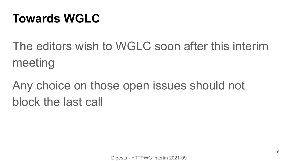### **Towards WGLC**

The editors wish to WGLC soon after this interim meeting

# Any choice on those open issues should not block the last call